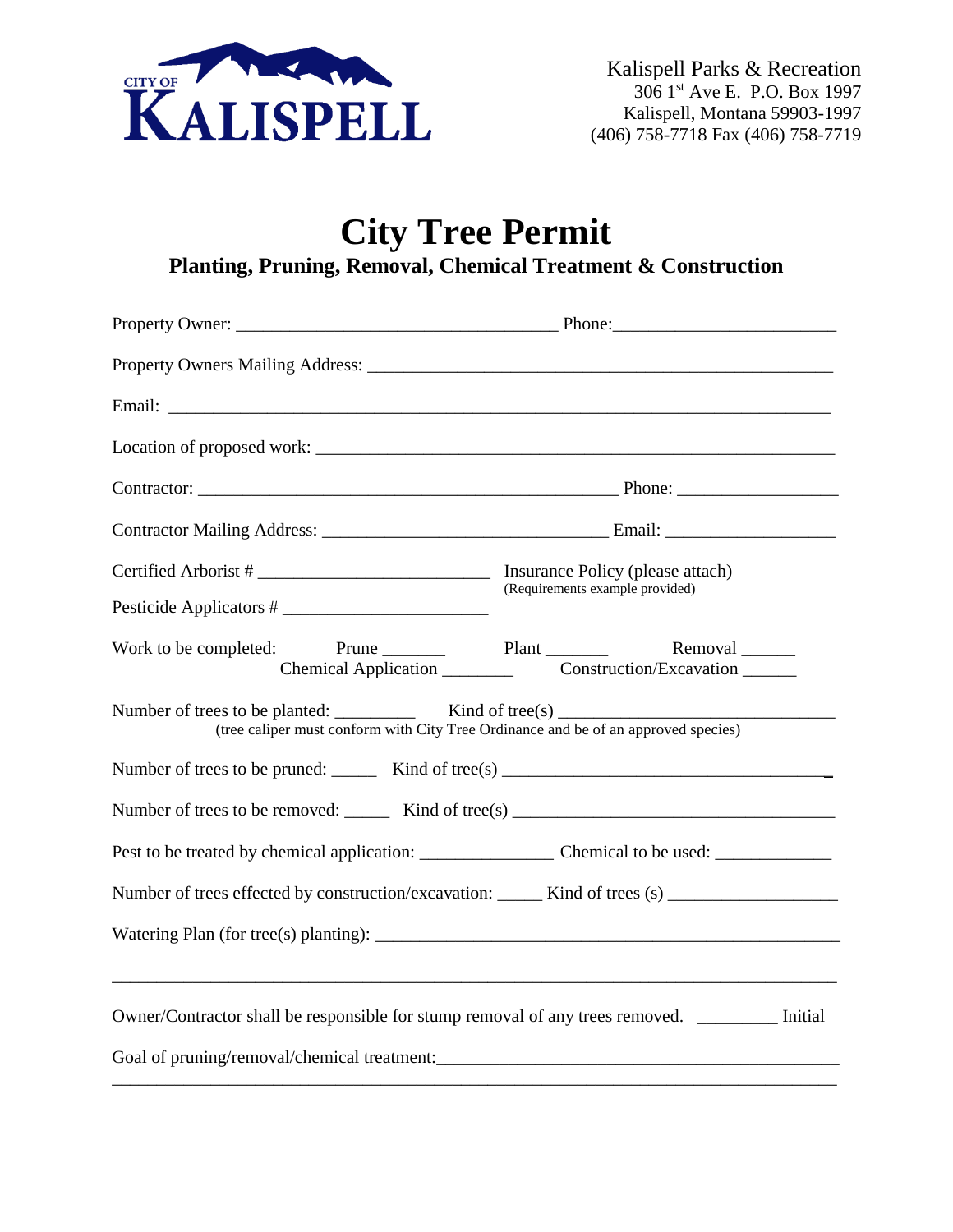

# **City Tree Permit Planting, Pruning, Removal, Chemical Treatment & Construction**

| Contractor: Phone: Phone: Phone: Phone: Phone: Phone: Phone: Phone: Phone: Phone: Phone: Phone: Phone: Phone: Phone: Phone: Phone: Phone: Phone: Phone: Phone: Phone: Phone: Phone: Phone: Phone: Phone: Phone: Phone: Phone:                                                                                                                                                                                                                                                    |                                 |  |  |  |  |
|----------------------------------------------------------------------------------------------------------------------------------------------------------------------------------------------------------------------------------------------------------------------------------------------------------------------------------------------------------------------------------------------------------------------------------------------------------------------------------|---------------------------------|--|--|--|--|
|                                                                                                                                                                                                                                                                                                                                                                                                                                                                                  |                                 |  |  |  |  |
| Pesticide Applicators #                                                                                                                                                                                                                                                                                                                                                                                                                                                          | (Requirements example provided) |  |  |  |  |
| Work to be completed: Prune Plant Plant Plant Removal                                                                                                                                                                                                                                                                                                                                                                                                                            |                                 |  |  |  |  |
| Number of trees to be planted: $\angle$ Kind of tree(s)<br>(tree caliper must conform with City Tree Ordinance and be of an approved species)                                                                                                                                                                                                                                                                                                                                    |                                 |  |  |  |  |
| Number of trees to be pruned: $\frac{1}{\sqrt{1-\frac{1}{n}}}$ Kind of tree(s) $\frac{1}{\sqrt{1-\frac{1}{n}}}$                                                                                                                                                                                                                                                                                                                                                                  |                                 |  |  |  |  |
| Number of trees to be removed: $\frac{Kind \space of tree(s) \quad \text{if} \space (s) \quad \text{if} \space (s) \quad \text{if} \space (s) \quad \text{if} \space (s) \quad \text{if} \space (s) \quad \text{if} \space (s) \quad \text{if} \space (s) \quad \text{if} \space (s) \quad \text{if} \space (s) \quad \text{if} \space (s) \quad \text{if} \space (s) \quad \text{if} \space (s) \quad \text{if} \space (s) \quad \text{if} \space (s) \quad \text{if} \space ($ |                                 |  |  |  |  |
|                                                                                                                                                                                                                                                                                                                                                                                                                                                                                  |                                 |  |  |  |  |
| Number of trees effected by construction/excavation: ______ Kind of trees (s) _____________________                                                                                                                                                                                                                                                                                                                                                                              |                                 |  |  |  |  |
|                                                                                                                                                                                                                                                                                                                                                                                                                                                                                  |                                 |  |  |  |  |
| Owner/Contractor shall be responsible for stump removal of any trees removed. ________ Initial                                                                                                                                                                                                                                                                                                                                                                                   |                                 |  |  |  |  |
|                                                                                                                                                                                                                                                                                                                                                                                                                                                                                  |                                 |  |  |  |  |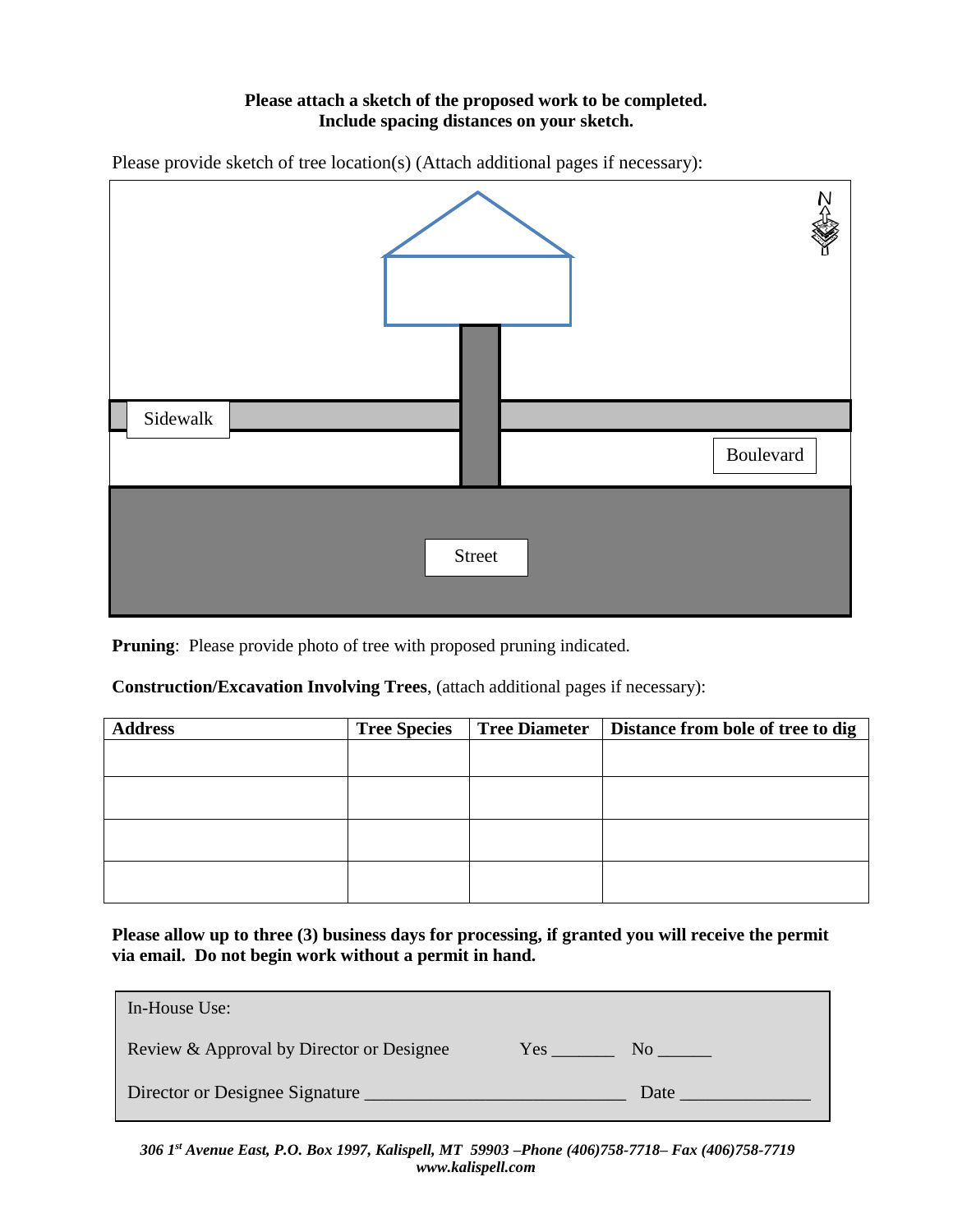# **Please attach a sketch of the proposed work to be completed. Include spacing distances on your sketch.**

Please provide sketch of tree location(s) (Attach additional pages if necessary):



**Pruning**: Please provide photo of tree with proposed pruning indicated.

# **Construction/Excavation Involving Trees**, (attach additional pages if necessary):

| <b>Address</b> | <b>Tree Species</b> | <b>Tree Diameter</b> | Distance from bole of tree to dig |
|----------------|---------------------|----------------------|-----------------------------------|
|                |                     |                      |                                   |
|                |                     |                      |                                   |
|                |                     |                      |                                   |
|                |                     |                      |                                   |
|                |                     |                      |                                   |
|                |                     |                      |                                   |
|                |                     |                      |                                   |
|                |                     |                      |                                   |

**Please allow up to three (3) business days for processing, if granted you will receive the permit via email. Do not begin work without a permit in hand.**

| In-House Use:                             |     |                |
|-------------------------------------------|-----|----------------|
| Review & Approval by Director or Designee | Yes | N <sub>0</sub> |
| Director or Designee Signature            |     | Date           |

*306 1 st Avenue East, P.O. Box 1997, Kalispell, MT 59903 –Phone (406)758-7718– Fax (406)758-7719 www.kalispell.com*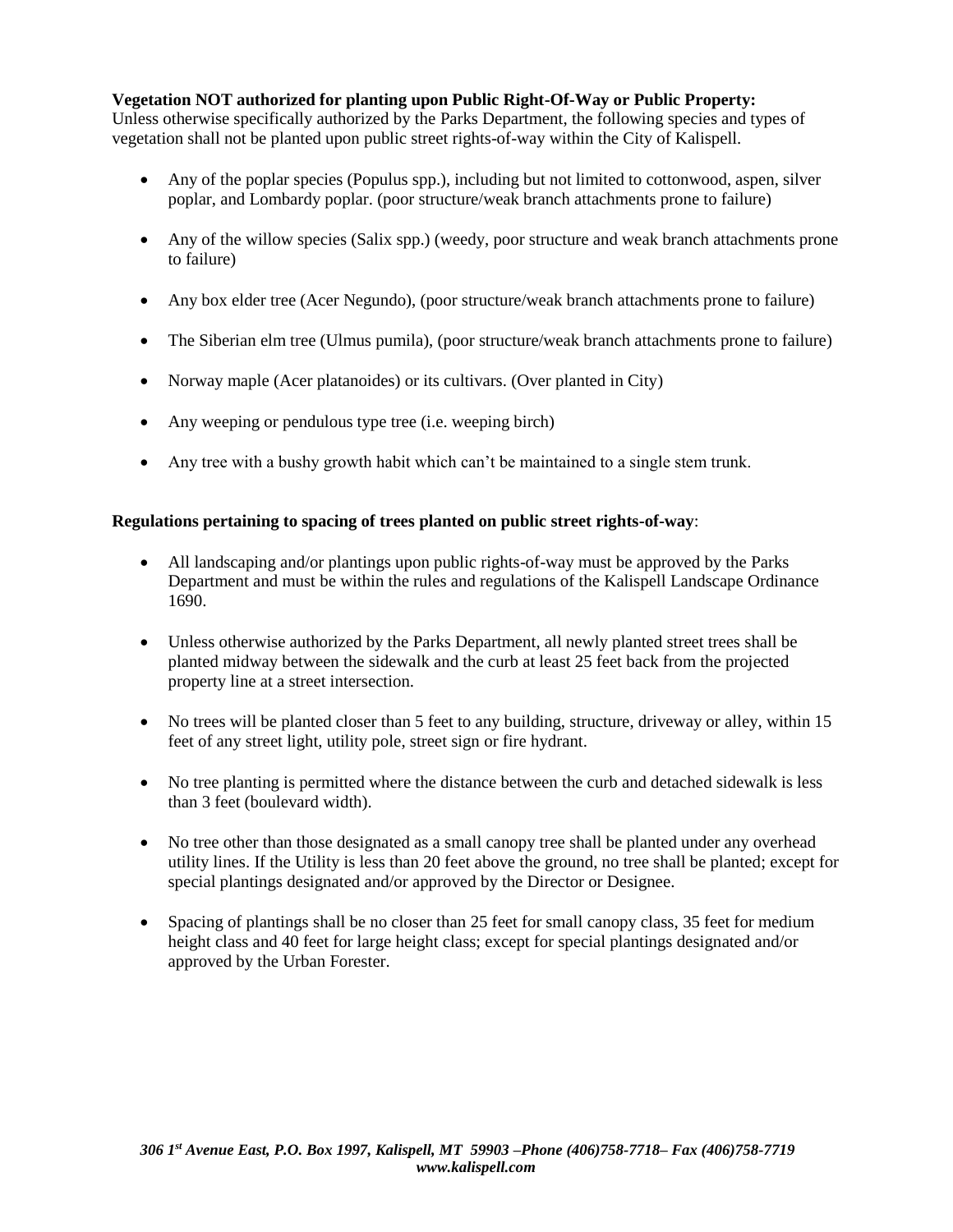## **Vegetation NOT authorized for planting upon Public Right-Of-Way or Public Property:**

Unless otherwise specifically authorized by the Parks Department, the following species and types of vegetation shall not be planted upon public street rights-of-way within the City of Kalispell.

- Any of the poplar species (Populus spp.), including but not limited to cottonwood, aspen, silver poplar, and Lombardy poplar. (poor structure/weak branch attachments prone to failure)
- Any of the willow species (Salix spp.) (weedy, poor structure and weak branch attachments prone to failure)
- Any box elder tree (Acer Negundo), (poor structure/weak branch attachments prone to failure)
- The Siberian elm tree (Ulmus pumila), (poor structure/weak branch attachments prone to failure)
- Norway maple (Acer platanoides) or its cultivars. (Over planted in City)
- Any weeping or pendulous type tree (i.e. weeping birch)
- Any tree with a bushy growth habit which can't be maintained to a single stem trunk.

#### **Regulations pertaining to spacing of trees planted on public street rights-of-way**:

- All landscaping and/or plantings upon public rights-of-way must be approved by the Parks Department and must be within the rules and regulations of the Kalispell Landscape Ordinance 1690.
- Unless otherwise authorized by the Parks Department, all newly planted street trees shall be planted midway between the sidewalk and the curb at least 25 feet back from the projected property line at a street intersection.
- No trees will be planted closer than 5 feet to any building, structure, driveway or alley, within 15 feet of any street light, utility pole, street sign or fire hydrant.
- No tree planting is permitted where the distance between the curb and detached sidewalk is less than 3 feet (boulevard width).
- No tree other than those designated as a small canopy tree shall be planted under any overhead utility lines. If the Utility is less than 20 feet above the ground, no tree shall be planted; except for special plantings designated and/or approved by the Director or Designee.
- Spacing of plantings shall be no closer than 25 feet for small canopy class, 35 feet for medium height class and 40 feet for large height class; except for special plantings designated and/or approved by the Urban Forester.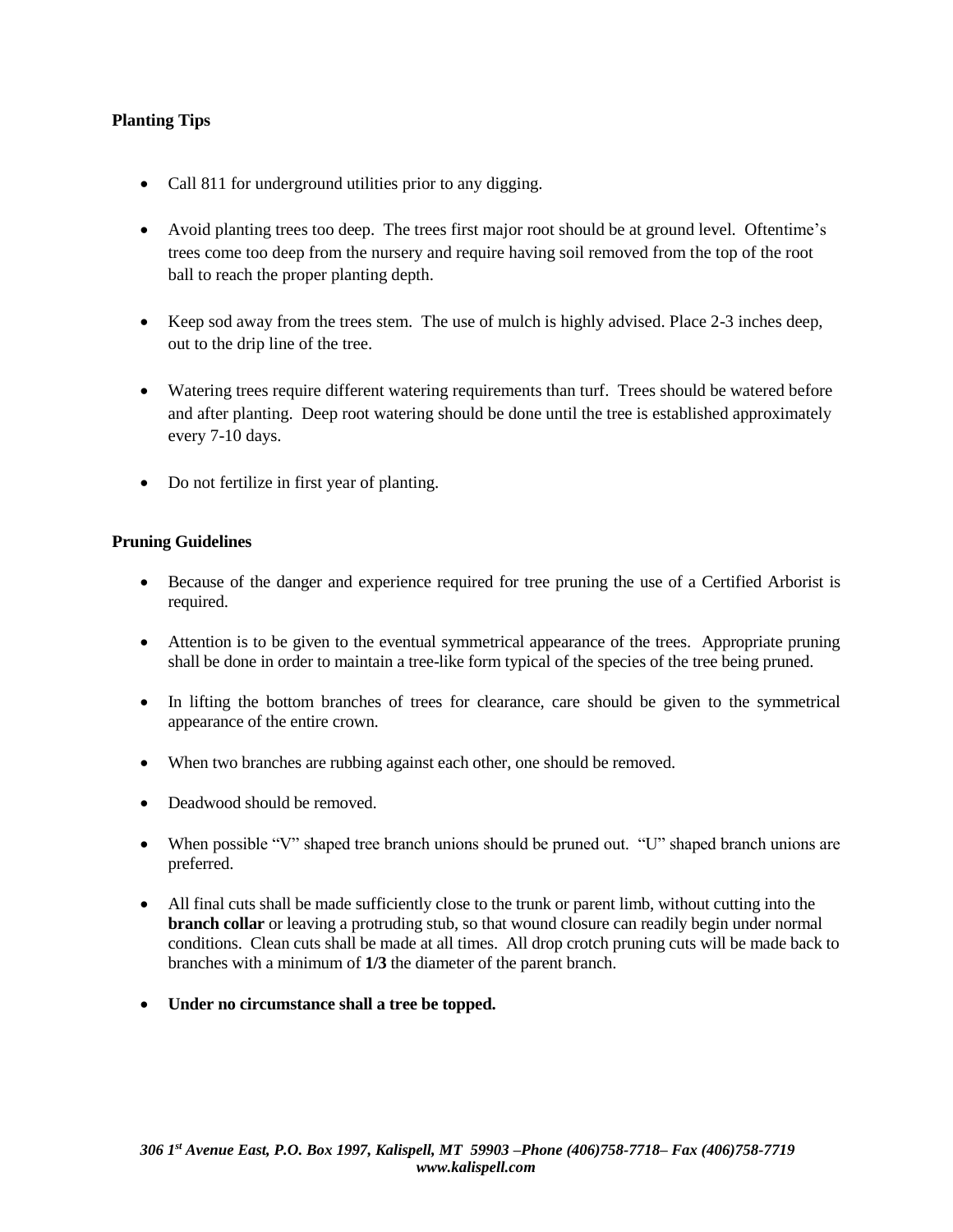# **Planting Tips**

- Call 811 for underground utilities prior to any digging.
- Avoid planting trees too deep. The trees first major root should be at ground level. Oftentime's trees come too deep from the nursery and require having soil removed from the top of the root ball to reach the proper planting depth.
- Keep sod away from the trees stem. The use of mulch is highly advised. Place 2-3 inches deep, out to the drip line of the tree.
- Watering trees require different watering requirements than turf. Trees should be watered before and after planting. Deep root watering should be done until the tree is established approximately every 7-10 days.
- Do not fertilize in first year of planting.

### **Pruning Guidelines**

- Because of the danger and experience required for tree pruning the use of a Certified Arborist is required.
- Attention is to be given to the eventual symmetrical appearance of the trees. Appropriate pruning shall be done in order to maintain a tree-like form typical of the species of the tree being pruned.
- In lifting the bottom branches of trees for clearance, care should be given to the symmetrical appearance of the entire crown.
- When two branches are rubbing against each other, one should be removed.
- Deadwood should be removed.
- When possible "V" shaped tree branch unions should be pruned out. "U" shaped branch unions are preferred.
- All final cuts shall be made sufficiently close to the trunk or parent limb, without cutting into the **branch collar** or leaving a protruding stub, so that wound closure can readily begin under normal conditions. Clean cuts shall be made at all times. All drop crotch pruning cuts will be made back to branches with a minimum of **1/3** the diameter of the parent branch.
- **Under no circumstance shall a tree be topped.**